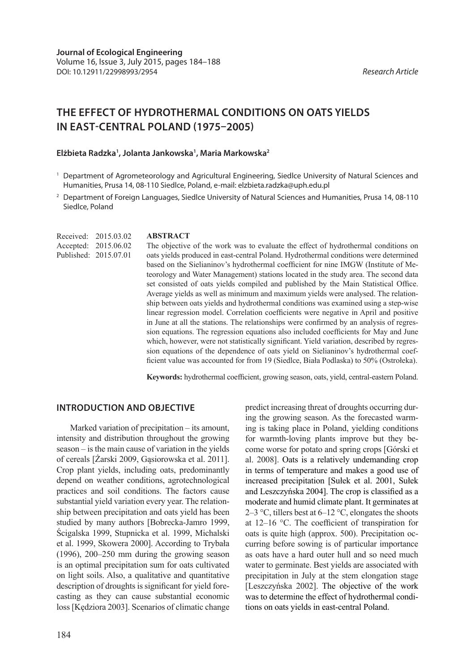# **THE EFFECT OF HYDROTHERMAL CONDITIONS ON OATS YIELDS IN EAST-CENTRAL POLAND (1975–2005)**

### **Elżbieta Radzka1 , Jolanta Jankowska1 , Maria Markowska2**

- 1 Department of Agrometeorology and Agricultural Engineering, Siedlce University of Natural Sciences and Humanities, Prusa 14, 08-110 Siedlce, Poland, e-mail: elzbieta.radzka@uph.edu.pl
- <sup>2</sup> Department of Foreign Languages, Siedlce University of Natural Sciences and Humanities, Prusa 14, 08-110 Siedlce, Poland

Received: 2015.03.02 Accepted: 2015.06.02 Published: 2015.07.01

#### **ABSTRACT**

The objective of the work was to evaluate the effect of hydrothermal conditions on oats yields produced in east-central Poland. Hydrothermal conditions were determined based on the Sielianinov's hydrothermal coefficient for nine IMGW (Institute of Meteorology and Water Management) stations located in the study area. The second data set consisted of oats yields compiled and published by the Main Statistical Office. Average yields as well as minimum and maximum yields were analysed. The relationship between oats yields and hydrothermal conditions was examined using a step-wise linear regression model. Correlation coefficients were negative in April and positive in June at all the stations. The relationships were confirmed by an analysis of regression equations. The regression equations also included coefficients for May and June which, however, were not statistically significant. Yield variation, described by regression equations of the dependence of oats yield on Sielianinov's hydrothermal coefficient value was accounted for from 19 (Siedlce, Biała Podlaska) to 50% (Ostrołeka).

**Keywords:** hydrothermal coefficient, growing season, oats, yield, central-eastern Poland.

## **INTRODUCTION AND OBJECTIVE**

Marked variation of precipitation – its amount, intensity and distribution throughout the growing season – is the main cause of variation in the yields of cereals [Żarski 2009, Gąsiorowska et al. 2011]. Crop plant yields, including oats, predominantly depend on weather conditions, agrotechnological practices and soil conditions. The factors cause substantial yield variation every year. The relationship between precipitation and oats yield has been studied by many authors [Bobrecka-Jamro 1999, Ścigalska 1999, Stupnicka et al. 1999, Michalski et al. 1999, Skowera 2000]. According to Trybała (1996), 200–250 mm during the growing season is an optimal precipitation sum for oats cultivated on light soils. Also, a qualitative and quantitative description of droughts is significant for yield forecasting as they can cause substantial economic loss [Kędziora 2003]. Scenarios of climatic change

predict increasing threat of droughts occurring during the growing season. As the forecasted warming is taking place in Poland, yielding conditions for warmth-loving plants improve but they become worse for potato and spring crops [Górski et al. 2008]. Oats is a relatively undemanding crop in terms of temperature and makes a good use of increased precipitation [Sułek et al. 2001, Sułek and Leszczyńska 2004]. The crop is classified as a moderate and humid climate plant. It germinates at 2–3 °C, tillers best at  $6-12$  °C, elongates the shoots at 12–16 °C. The coefficient of transpiration for oats is quite high (approx. 500). Precipitation occurring before sowing is of particular importance as oats have a hard outer hull and so need much water to germinate. Best yields are associated with precipitation in July at the stem elongation stage [Leszczyńska 2002]. The objective of the work was to determine the effect of hydrothermal conditions on oats yields in east-central Poland.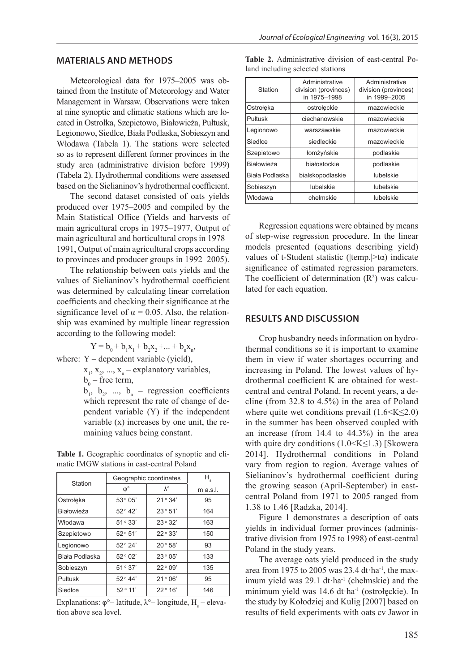#### **MATERIALS AND METHODS**

Meteorological data for 1975–2005 was obtained from the Institute of Meteorology and Water Management in Warsaw. Observations were taken at nine synoptic and climatic stations which are located in Ostrołka, Szepietowo, Białowieża, Pułtusk, Legionowo, Siedlce, Biała Podlaska, Sobieszyn and Włodawa (Tabela 1). The stations were selected so as to represent different former provinces in the study area (administrative division before 1999) (Tabela 2). Hydrothermal conditions were assessed based on the Sielianinov's hydrothermal coefficient.

The second dataset consisted of oats yields produced over 1975–2005 and compiled by the Main Statistical Office (Yields and harvests of main agricultural crops in 1975–1977, Output of main agricultural and horticultural crops in 1978– 1991, Output of main agricultural crops according to provinces and producer groups in 1992–2005).

The relationship between oats yields and the values of Sielianinov's hydrothermal coefficient was determined by calculating linear correlation coefficients and checking their significance at the significance level of  $\alpha = 0.05$ . Also, the relationship was examined by multiple linear regression according to the following model:

 $Y = b_0 + b_1x_1 + b_2x_2 + ... + b_nx_n,$ 

where: Y – dependent variable (yield),

 $x_1, x_2, ..., x_n$  – explanatory variables,

 $b_0$  – free term,

 $b_1, b_2, ..., b_n$  – regression coefficients which represent the rate of change of dependent variable (Y) if the independent variable (x) increases by one unit, the remaining values being constant.

**Table 1.** Geographic coordinates of synoptic and climatic IMGW stations in east-central Poland

|                    | Geographic coordinates | $H_{\rm s}$       |            |
|--------------------|------------------------|-------------------|------------|
| Station            | $\varphi$ °            | $\lambda^{\circ}$ | $m$ a.s.l. |
| Ostrołęka          | 53°05'                 | 21°34'            | 95         |
| <b>IBiałowieża</b> | 52°42'                 | 23°51'            | 164        |
| <b>Włodawa</b>     | 51°33'                 | 23°32'            | 163        |
| Szepietowo         | 52°51'                 | 22°33'            | 150        |
| Legionowo          | 52°24'                 | 20°58'            | 93         |
| Biała Podlaska     | 52°02'                 | 23°05'            | 133        |
| Sobieszyn          | 51°37'                 | $22^{\circ}09'$   | 135        |
| <b>I</b> Pułtusk   | 52°44'                 | 21°06'            | 95         |
| Siedice            | $52^{\circ}$ 11'       | $22^{\circ} 16'$  | 146        |

Explanations:  $\varphi^{\circ}$ – latitude,  $\lambda^{\circ}$ – longitude, H<sub>s</sub> – elevation above sea level.

|  |                                  |  | <b>Table 2.</b> Administrative division of east-central Po- |  |
|--|----------------------------------|--|-------------------------------------------------------------|--|
|  | land including selected stations |  |                                                             |  |

| Station        | Administrative<br>division (provinces)<br>in 1975-1998 | Administrative<br>division (provinces)<br>in 1999-2005 |
|----------------|--------------------------------------------------------|--------------------------------------------------------|
| Ostrołęka      | ostrołęckie                                            | mazowieckie                                            |
| Pułtusk        | ciechanowskie                                          | mazowieckie                                            |
| Legionowo      | warszawskie                                            | mazowieckie                                            |
| Siedice        | siedleckie                                             | mazowieckie                                            |
| Szepietowo     | łomżyńskie                                             | podlaskie                                              |
| Białowieża     | białostockie                                           | podlaskie                                              |
| Biała Podlaska | bialskopodlaskie                                       | lubelskie                                              |
| Sobieszyn      | lubelskie                                              | lubelskie                                              |
| Włodawa        | chełmskie                                              | lubelskie                                              |

Regression equations were obtained by means of step-wise regression procedure. In the linear models presented (equations describing yield) values of t-Student statistic ( $|temp.|\geq t\alpha$ ) indicate significance of estimated regression parameters. The coefficient of determination  $(R^2)$  was calculated for each equation.

## **RESULTS AND DISCUSSION**

Crop husbandry needs information on hydrothermal conditions so it is important to examine them in view if water shortages occurring and increasing in Poland. The lowest values of hydrothermal coefficient K are obtained for westcentral and central Poland. In recent years, a decline (from 32.8 to 4.5%) in the area of Poland where quite wet conditions prevail  $(1.6 \le K \le 2.0)$ in the summer has been observed coupled with an increase (from 14.4 to 44.3%) in the area with quite dry conditions  $(1.0 \le K \le 1.3)$  [Skowera] 2014]. Hydrothermal conditions in Poland vary from region to region. Average values of Sielianinov's hydrothermal coefficient during the growing season (April-September) in eastcentral Poland from 1971 to 2005 ranged from 1.38 to 1.46 [Radzka, 2014].

Figure 1 demonstrates a description of oats yields in individual former provinces (administrative division from 1975 to 1998) of east-central Poland in the study years.

The average oats yield produced in the study area from 1975 to 2005 was 23.4 dt·ha-1, the maximum yield was 29.1 dt·ha<sup>-1</sup> (chełmskie) and the minimum yield was 14.6 dt·ha-1 (ostrołęckie). In the study by Kołodziej and Kulig [2007] based on results of field experiments with oats cv Jawor in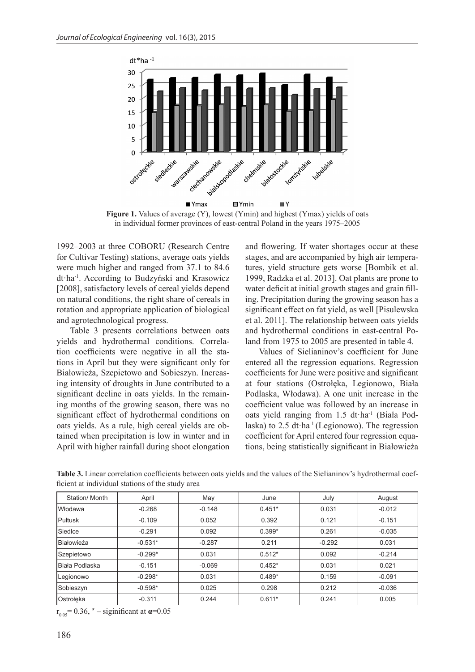

Figure 1. Values of average (Y), lowest (Ymin) and highest (Ymax) yields of oats in individual former provinces of east-central Poland in the years 1975–2005

1992–2003 at three COBORU (Research Centre for Cultivar Testing) stations, average oats yields were much higher and ranged from 37.1 to 84.6 dt·ha-1. According to Budzyński and Krasowicz [2008], satisfactory levels of cereal yields depend on natural conditions, the right share of cereals in rotation and appropriate application of biological and agrotechnological progress.

Table 3 presents correlations between oats yields and hydrothermal conditions. Correlation coefficients were negative in all the stations in April but they were significant only for Białowieża, Szepietowo and Sobieszyn. Increasing intensity of droughts in June contributed to a significant decline in oats yields. In the remaining months of the growing season, there was no significant effect of hydrothermal conditions on oats yields. As a rule, high cereal yields are obtained when precipitation is low in winter and in April with higher rainfall during shoot elongation

and flowering. If water shortages occur at these stages, and are accompanied by high air temperatures, yield structure gets worse [Bombik et al. 1999, Radzka et al. 2013]. Oat plants are prone to water deficit at initial growth stages and grain filling. Precipitation during the growing season has a significant effect on fat yield, as well [Pisulewska et al. 2011]. The relationship between oats yields and hydrothermal conditions in east-central Poland from 1975 to 2005 are presented in table 4.

Values of Sielianinov's coefficient for June entered all the regression equations. Regression coefficients for June were positive and significant at four stations (Ostrołęka, Legionowo, Biała Podlaska, Włodawa). A one unit increase in the coefficient value was followed by an increase in oats yield ranging from 1.5 dt·ha-1 (Biała Podlaska) to  $2.5$  dt $\cdot$ ha<sup>-1</sup> (Legionowo). The regression coefficient for April entered four regression equations, being statistically significant in Białowieża

| Station/Month  | April     | May      | June     | July     | August   |
|----------------|-----------|----------|----------|----------|----------|
| <b>Włodawa</b> | $-0.268$  | $-0.148$ | $0.451*$ | 0.031    | $-0.012$ |
| Pułtusk        | $-0.109$  | 0.052    | 0.392    | 0.121    | $-0.151$ |
| Siedice        | $-0.291$  | 0.092    | $0.399*$ | 0.261    | $-0.035$ |
| Białowieża     | $-0.531*$ | $-0.287$ | 0.211    | $-0.292$ | 0.031    |
| Szepietowo     | $-0.299*$ | 0.031    | $0.512*$ | 0.092    | $-0.214$ |
| Biała Podlaska | $-0.151$  | $-0.069$ | $0.452*$ | 0.031    | 0.021    |
| Legionowo      | $-0.298*$ | 0.031    | $0.489*$ | 0.159    | $-0.091$ |
| Sobieszyn      | $-0.598*$ | 0.025    | 0.298    | 0.212    | $-0.036$ |
| Ostrołęka      | $-0.311$  | 0.244    | $0.611*$ | 0.241    | 0.005    |

**Table 3.** Linear correlation coefficients between oats yields and the values of the Sielianinov's hydrothermal coefficient at individual stations of the study area

 $r_{0.05} = 0.36$ , \* – siginificant at  $\alpha = 0.05$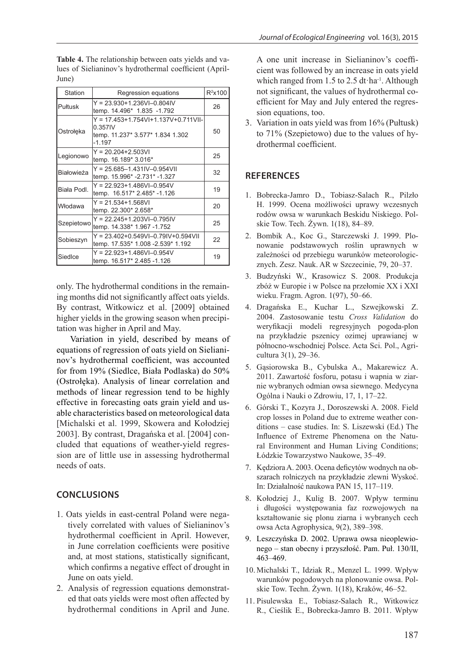| Station           | Regression equations                                                                                    | $R^2$ x100 |
|-------------------|---------------------------------------------------------------------------------------------------------|------------|
| Pułtusk           | $Y = 23.930 + 1.236V$ I-0.804IV<br>temp. 14.496* 1.835 -1.792                                           | 26         |
| Ostrołęka         | $Y = 17.453 + 1.754V1 + 1.137V + 0.711V11 -$<br>0.357IV<br>temp. 11.237* 3.577* 1.834 1.302<br>$-1.197$ | 50         |
| Legionowo         | $Y = 20.204 + 2.503V$<br>temp. 16.189* 3.016*                                                           | 25         |
| <b>Białowieża</b> | $Y = 25.685 - 1.431IV - 0.954V$<br>temp. 15.996* -2.731* -1.327                                         | 32         |
| Biała Podl.       | $Y = 22.923 + 1.486V$ l-0.954V<br>temp. 16.517* 2.485* -1.126                                           | 19         |
| Włodawa           | $Y = 21.534 + 1.568V$<br>temp. 22.300* 2.658*                                                           | 20         |
| Szepietowo        | $Y = 22.245 + 1.203V$ I-0.795IV<br>temp. 14.338* 1.967 -1.752                                           | 25         |
| Sobieszyn         | $Y = 23.402 + 0.549V - 0.79V + 0.594V$<br>temp. 17.535* 1.008 - 2.539* 1.192                            | 22         |
| Siedlce           | $Y = 22.923 + 1.486V$ l-0.954V<br>temp. 16.517* 2.485 -1.126                                            | 19         |

**Table 4.** The relationship between oats yields and values of Sielianinov's hydrothermal coefficient (April-June)

only. The hydrothermal conditions in the remaining months did not significantly affect oats yields. By contrast, Witkowicz et al. [2009] obtained higher yields in the growing season when precipitation was higher in April and May.

Variation in yield, described by means of equations of regression of oats yield on Sielianinov's hydrothermal coefficient, was accounted for from 19% (Siedlce, Biała Podlaska) do 50% (Ostrołęka). Analysis of linear correlation and methods of linear regression tend to be highly effective in forecasting oats grain yield and usable characteristics based on meteorological data [Michalski et al. 1999, Skowera and Kołodziej 2003]. By contrast, Dragańska et al. [2004] concluded that equations of weather-yield regression are of little use in assessing hydrothermal needs of oats.

# **CONCLUSIONS**

- 1. Oats yields in east-central Poland were negatively correlated with values of Sielianinov's hydrothermal coefficient in April. However, in June correlation coefficients were positive and, at most stations, statistically significant, which confirms a negative effect of drought in June on oats yield.
- 2. Analysis of regression equations demonstrated that oats yields were most often affected by hydrothermal conditions in April and June.

A one unit increase in Sielianinov's coefficient was followed by an increase in oats yield which ranged from 1.5 to 2.5 dt·ha<sup>-1</sup>. Although not significant, the values of hydrothermal coefficient for May and July entered the regression equations, too.

3. Variation in oats yield was from 16% (Pułtusk) to 71% (Szepietowo) due to the values of hydrothermal coefficient.

## **REFERENCES**

- 1. Bobrecka-Jamro D., Tobiasz-Salach R., Pilzło H. 1999. Ocena możliwości uprawy wczesnych rodów owsa w warunkach Beskidu Niskiego. Polskie Tow. Tech. Żywn. 1(18), 84–89.
- 2. Bombik A., Koc G., Starczewski J. 1999. Plonowanie podstawowych roślin uprawnych w zależności od przebiegu warunków meteorologicznych. Zesz. Nauk. AR w Szczecinie, 79, 20–37.
- 3. Budzyński W., Krasowicz S. 2008. Produkcja zbóż w Europie i w Polsce na przełomie XX i XXI wieku. Fragm. Agron. 1(97), 50–66.
- 4. Dragańska E., Kuchar L., Szwejkowski Z. 2004. Zastosowanie testu *Cross Validation* do weryfikacji modeli regresyjnych pogoda-plon na przykładzie pszenicy ozimej uprawianej w północno-wschodniej Polsce. Acta Sci. Pol., Agricultura 3(1), 29–36.
- 5. Gąsiorowska B., Cybulska A., Makarewicz A. 2011. Zawartość fosforu, potasu i wapnia w ziarnie wybranych odmian owsa siewnego. Medycyna Ogólna i Nauki o Zdrowiu, 17, 1, 17–22.
- 6. Górski T., Kozyra J., Doroszewski A. 2008. Field crop losses in Poland due to extreme weather conditions – case studies. In: S. Liszewski (Ed.) The Influence of Extreme Phenomena on the Natural Environment and Human Living Conditions; Łódzkie Towarzystwo Naukowe, 35–49.
- 7. Kędziora A. 2003. Ocena deficytów wodnych na obszarach rolniczych na przykładzie zlewni Wyskoć. In: Działalność naukowa PAN 15, 117–119.
- 8. Kołodziej J., Kulig B. 2007. Wpływ terminu i długości występowania faz rozwojowych na kształtowanie się plonu ziarna i wybranych cech owsa Acta Agrophysica, 9(2), 389–398.
- 9. Leszczyńska D. 2002. Uprawa owsa nieoplewionego – stan obecny i przyszłość. Pam. Puł. 130/II, 463–469.
- 10. Michalski T., Idziak R., Menzel L. 1999. Wpływ warunków pogodowych na plonowanie owsa. Polskie Tow. Techn. Żywn. 1(18), Kraków, 46–52.
- 11. Pisulewska E., Tobiasz-Salach R., Witkowicz R., Cieślik E., Bobrecka-Jamro B. 2011. Wpływ